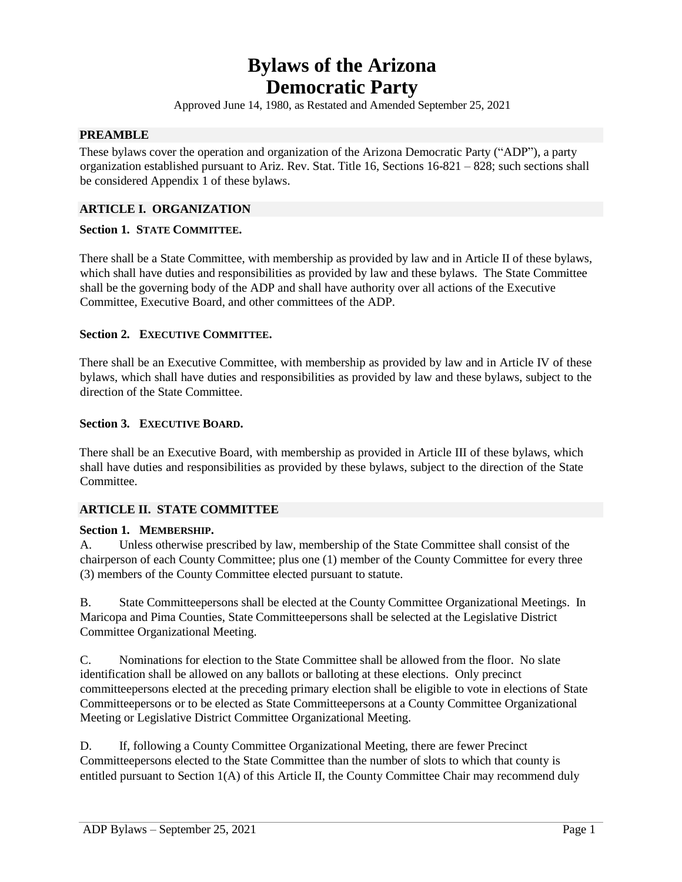# **Bylaws of the Arizona Democratic Party**

Approved June 14, 1980, as Restated and Amended September 25, 2021

#### **PREAMBLE**

These bylaws cover the operation and organization of the Arizona Democratic Party ("ADP"), a party organization established pursuant to Ariz. Rev. Stat. Title 16, Sections 16-821 – 828; such sections shall be considered Appendix 1 of these bylaws.

#### **ARTICLE I. ORGANIZATION**

#### **Section 1. STATE COMMITTEE.**

There shall be a State Committee, with membership as provided by law and in Article II of these bylaws, which shall have duties and responsibilities as provided by law and these bylaws. The State Committee shall be the governing body of the ADP and shall have authority over all actions of the Executive Committee, Executive Board, and other committees of the ADP.

#### **Section 2. EXECUTIVE COMMITTEE.**

There shall be an Executive Committee, with membership as provided by law and in Article IV of these bylaws, which shall have duties and responsibilities as provided by law and these bylaws, subject to the direction of the State Committee.

#### **Section 3. EXECUTIVE BOARD.**

There shall be an Executive Board, with membership as provided in Article III of these bylaws, which shall have duties and responsibilities as provided by these bylaws, subject to the direction of the State Committee.

#### **ARTICLE II. STATE COMMITTEE**

#### **Section 1. MEMBERSHIP.**

A. Unless otherwise prescribed by law, membership of the State Committee shall consist of the chairperson of each County Committee; plus one (1) member of the County Committee for every three (3) members of the County Committee elected pursuant to statute.

B. State Committeepersons shall be elected at the County Committee Organizational Meetings. In Maricopa and Pima Counties, State Committeepersons shall be selected at the Legislative District Committee Organizational Meeting.

C. Nominations for election to the State Committee shall be allowed from the floor. No slate identification shall be allowed on any ballots or balloting at these elections. Only precinct committeepersons elected at the preceding primary election shall be eligible to vote in elections of State Committeepersons or to be elected as State Committeepersons at a County Committee Organizational Meeting or Legislative District Committee Organizational Meeting.

D. If, following a County Committee Organizational Meeting, there are fewer Precinct Committeepersons elected to the State Committee than the number of slots to which that county is entitled pursuant to Section 1(A) of this Article II, the County Committee Chair may recommend duly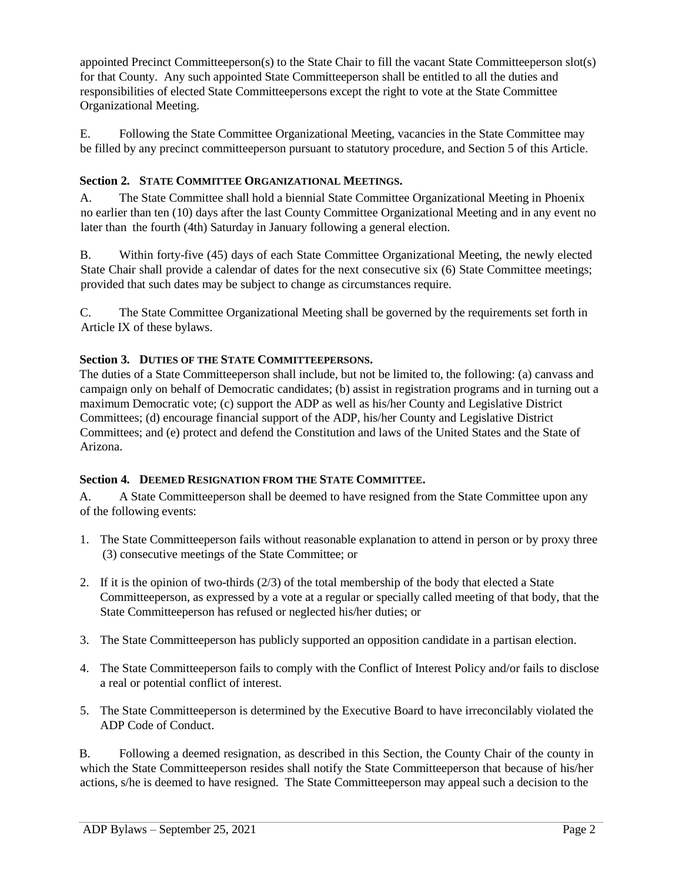appointed Precinct Committeeperson(s) to the State Chair to fill the vacant State Committeeperson slot(s) for that County. Any such appointed State Committeeperson shall be entitled to all the duties and responsibilities of elected State Committeepersons except the right to vote at the State Committee Organizational Meeting.

E. Following the State Committee Organizational Meeting, vacancies in the State Committee may be filled by any precinct committeeperson pursuant to statutory procedure, and Section 5 of this Article.

# **Section 2. STATE COMMITTEE ORGANIZATIONAL MEETINGS.**

A. The State Committee shall hold a biennial State Committee Organizational Meeting in Phoenix no earlier than ten (10) days after the last County Committee Organizational Meeting and in any event no later than the fourth (4th) Saturday in January following a general election.

B. Within forty-five (45) days of each State Committee Organizational Meeting, the newly elected State Chair shall provide a calendar of dates for the next consecutive six (6) State Committee meetings; provided that such dates may be subject to change as circumstances require.

C. The State Committee Organizational Meeting shall be governed by the requirements set forth in Article IX of these bylaws.

# **Section 3. DUTIES OF THE STATE COMMITTEEPERSONS.**

The duties of a State Committeeperson shall include, but not be limited to, the following: (a) canvass and campaign only on behalf of Democratic candidates; (b) assist in registration programs and in turning out a maximum Democratic vote; (c) support the ADP as well as his/her County and Legislative District Committees; (d) encourage financial support of the ADP, his/her County and Legislative District Committees; and (e) protect and defend the Constitution and laws of the United States and the State of Arizona.

# **Section 4. DEEMED RESIGNATION FROM THE STATE COMMITTEE.**

A. A State Committeeperson shall be deemed to have resigned from the State Committee upon any of the following events:

- 1. The State Committeeperson fails without reasonable explanation to attend in person or by proxy three (3) consecutive meetings of the State Committee; or
- 2. If it is the opinion of two-thirds (2/3) of the total membership of the body that elected a State Committeeperson, as expressed by a vote at a regular or specially called meeting of that body, that the State Committeeperson has refused or neglected his/her duties; or
- 3. The State Committeeperson has publicly supported an opposition candidate in a partisan election.
- 4. The State Committeeperson fails to comply with the Conflict of Interest Policy and/or fails to disclose a real or potential conflict of interest.
- 5. The State Committeeperson is determined by the Executive Board to have irreconcilably violated the ADP Code of Conduct.

B. Following a deemed resignation, as described in this Section, the County Chair of the county in which the State Committeeperson resides shall notify the State Committeeperson that because of his/her actions, s/he is deemed to have resigned. The State Committeeperson may appeal such a decision to the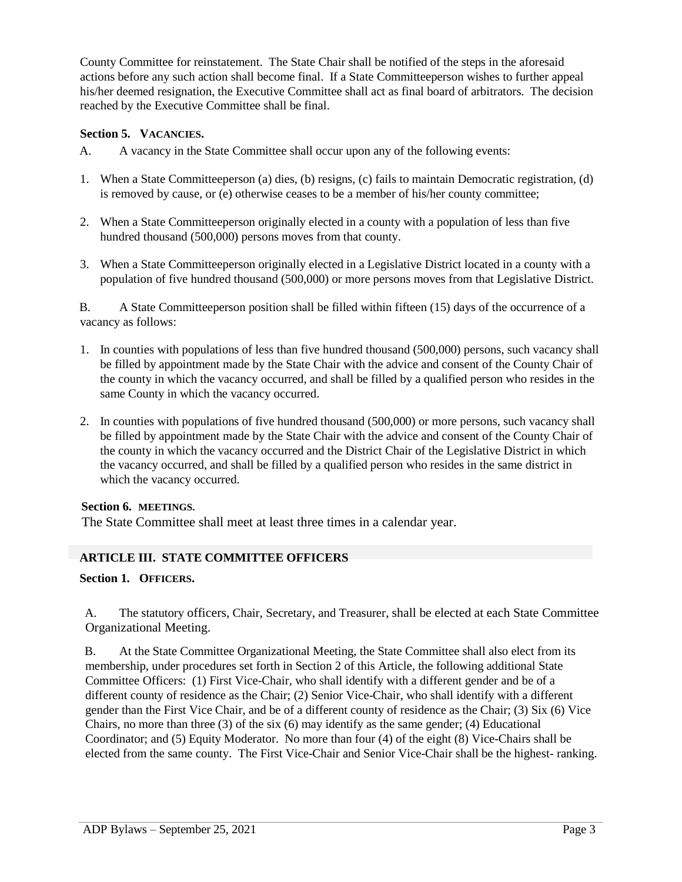County Committee for reinstatement. The State Chair shall be notified of the steps in the aforesaid actions before any such action shall become final. If a State Committeeperson wishes to further appeal his/her deemed resignation, the Executive Committee shall act as final board of arbitrators. The decision reached by the Executive Committee shall be final.

#### **Section 5. VACANCIES.**

- A. A vacancy in the State Committee shall occur upon any of the following events:
- 1. When a State Committeeperson (a) dies, (b) resigns, (c) fails to maintain Democratic registration, (d) is removed by cause, or (e) otherwise ceases to be a member of his/her county committee;
- 2. When a State Committeeperson originally elected in a county with a population of less than five hundred thousand (500,000) persons moves from that county.
- 3. When a State Committeeperson originally elected in a Legislative District located in a county with a population of five hundred thousand (500,000) or more persons moves from that Legislative District.

B. A State Committeeperson position shall be filled within fifteen (15) days of the occurrence of a vacancy as follows:

- 1. In counties with populations of less than five hundred thousand (500,000) persons, such vacancy shall be filled by appointment made by the State Chair with the advice and consent of the County Chair of the county in which the vacancy occurred, and shall be filled by a qualified person who resides in the same County in which the vacancy occurred.
- 2. In counties with populations of five hundred thousand (500,000) or more persons, such vacancy shall be filled by appointment made by the State Chair with the advice and consent of the County Chair of the county in which the vacancy occurred and the District Chair of the Legislative District in which the vacancy occurred, and shall be filled by a qualified person who resides in the same district in which the vacancy occurred.

#### **Section 6. MEETINGS.**

The State Committee shall meet at least three times in a calendar year.

# **ARTICLE III. STATE COMMITTEE OFFICERS**

# **Section 1. OFFICERS.**

A. The statutory officers, Chair, Secretary, and Treasurer, shall be elected at each State Committee Organizational Meeting.

B. At the State Committee Organizational Meeting, the State Committee shall also elect from its membership, under procedures set forth in Section 2 of this Article, the following additional State Committee Officers: (1) First Vice-Chair, who shall identify with a different gender and be of a different county of residence as the Chair; (2) Senior Vice-Chair, who shall identify with a different gender than the First Vice Chair, and be of a different county of residence as the Chair; (3) Six (6) Vice Chairs, no more than three  $(3)$  of the six  $(6)$  may identify as the same gender;  $(4)$  Educational Coordinator; and (5) Equity Moderator. No more than four (4) of the eight (8) Vice-Chairs shall be elected from the same county. The First Vice-Chair and Senior Vice-Chair shall be the highest- ranking.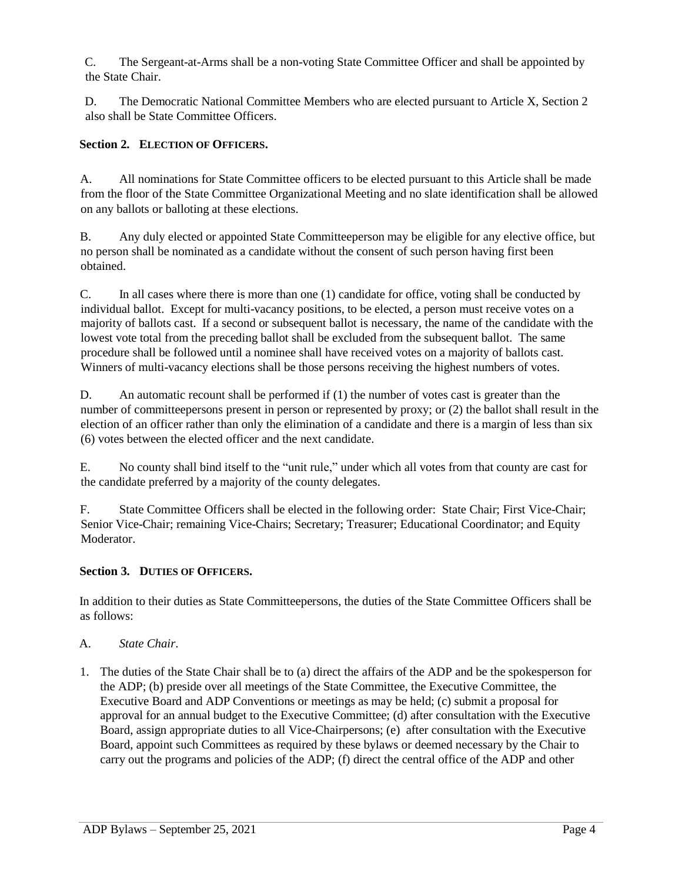C. The Sergeant-at-Arms shall be a non-voting State Committee Officer and shall be appointed by the State Chair.

D. The Democratic National Committee Members who are elected pursuant to Article X, Section 2 also shall be State Committee Officers.

# **Section 2. ELECTION OF OFFICERS.**

A. All nominations for State Committee officers to be elected pursuant to this Article shall be made from the floor of the State Committee Organizational Meeting and no slate identification shall be allowed on any ballots or balloting at these elections.

B. Any duly elected or appointed State Committeeperson may be eligible for any elective office, but no person shall be nominated as a candidate without the consent of such person having first been obtained.

C. In all cases where there is more than one (1) candidate for office, voting shall be conducted by individual ballot. Except for multi-vacancy positions, to be elected, a person must receive votes on a majority of ballots cast. If a second or subsequent ballot is necessary, the name of the candidate with the lowest vote total from the preceding ballot shall be excluded from the subsequent ballot. The same procedure shall be followed until a nominee shall have received votes on a majority of ballots cast. Winners of multi-vacancy elections shall be those persons receiving the highest numbers of votes.

D. An automatic recount shall be performed if (1) the number of votes cast is greater than the number of committeepersons present in person or represented by proxy; or (2) the ballot shall result in the election of an officer rather than only the elimination of a candidate and there is a margin of less than six (6) votes between the elected officer and the next candidate.

E. No county shall bind itself to the "unit rule," under which all votes from that county are cast for the candidate preferred by a majority of the county delegates.

F. State Committee Officers shall be elected in the following order: State Chair; First Vice-Chair; Senior Vice-Chair; remaining Vice-Chairs; Secretary; Treasurer; Educational Coordinator; and Equity Moderator.

# **Section 3. DUTIES OF OFFICERS.**

In addition to their duties as State Committeepersons, the duties of the State Committee Officers shall be as follows:

# A. *State Chair*.

1. The duties of the State Chair shall be to (a) direct the affairs of the ADP and be the spokesperson for the ADP; (b) preside over all meetings of the State Committee, the Executive Committee, the Executive Board and ADP Conventions or meetings as may be held; (c) submit a proposal for approval for an annual budget to the Executive Committee; (d) after consultation with the Executive Board, assign appropriate duties to all Vice-Chairpersons; (e) after consultation with the Executive Board, appoint such Committees as required by these bylaws or deemed necessary by the Chair to carry out the programs and policies of the ADP; (f) direct the central office of the ADP and other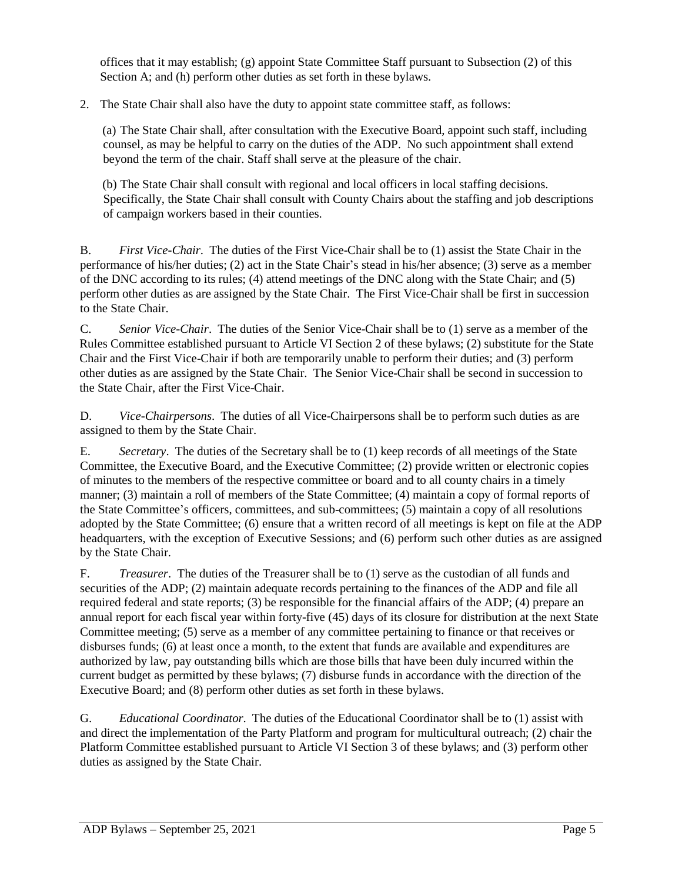offices that it may establish; (g) appoint State Committee Staff pursuant to Subsection (2) of this Section A; and (h) perform other duties as set forth in these bylaws.

2. The State Chair shall also have the duty to appoint state committee staff, as follows:

(a) The State Chair shall, after consultation with the Executive Board, appoint such staff, including counsel, as may be helpful to carry on the duties of the ADP. No such appointment shall extend beyond the term of the chair. Staff shall serve at the pleasure of the chair.

(b) The State Chair shall consult with regional and local officers in local staffing decisions. Specifically, the State Chair shall consult with County Chairs about the staffing and job descriptions of campaign workers based in their counties.

B. *First Vice-Chair*. The duties of the First Vice-Chair shall be to (1) assist the State Chair in the performance of his/her duties; (2) act in the State Chair's stead in his/her absence; (3) serve as a member of the DNC according to its rules; (4) attend meetings of the DNC along with the State Chair; and (5) perform other duties as are assigned by the State Chair. The First Vice-Chair shall be first in succession to the State Chair.

C. *Senior Vice-Chair*. The duties of the Senior Vice-Chair shall be to (1) serve as a member of the Rules Committee established pursuant to Article VI Section 2 of these bylaws; (2) substitute for the State Chair and the First Vice-Chair if both are temporarily unable to perform their duties; and (3) perform other duties as are assigned by the State Chair. The Senior Vice-Chair shall be second in succession to the State Chair, after the First Vice-Chair.

D. *Vice-Chairpersons*. The duties of all Vice-Chairpersons shall be to perform such duties as are assigned to them by the State Chair.

E. *Secretary*. The duties of the Secretary shall be to (1) keep records of all meetings of the State Committee, the Executive Board, and the Executive Committee; (2) provide written or electronic copies of minutes to the members of the respective committee or board and to all county chairs in a timely manner; (3) maintain a roll of members of the State Committee; (4) maintain a copy of formal reports of the State Committee's officers, committees, and sub-committees; (5) maintain a copy of all resolutions adopted by the State Committee; (6) ensure that a written record of all meetings is kept on file at the ADP headquarters, with the exception of Executive Sessions; and (6) perform such other duties as are assigned by the State Chair.

F. *Treasurer*. The duties of the Treasurer shall be to (1) serve as the custodian of all funds and securities of the ADP; (2) maintain adequate records pertaining to the finances of the ADP and file all required federal and state reports; (3) be responsible for the financial affairs of the ADP; (4) prepare an annual report for each fiscal year within forty-five (45) days of its closure for distribution at the next State Committee meeting; (5) serve as a member of any committee pertaining to finance or that receives or disburses funds; (6) at least once a month, to the extent that funds are available and expenditures are authorized by law, pay outstanding bills which are those bills that have been duly incurred within the current budget as permitted by these bylaws; (7) disburse funds in accordance with the direction of the Executive Board; and (8) perform other duties as set forth in these bylaws.

G. *Educational Coordinator*. The duties of the Educational Coordinator shall be to (1) assist with and direct the implementation of the Party Platform and program for multicultural outreach; (2) chair the Platform Committee established pursuant to Article VI Section 3 of these bylaws; and (3) perform other duties as assigned by the State Chair.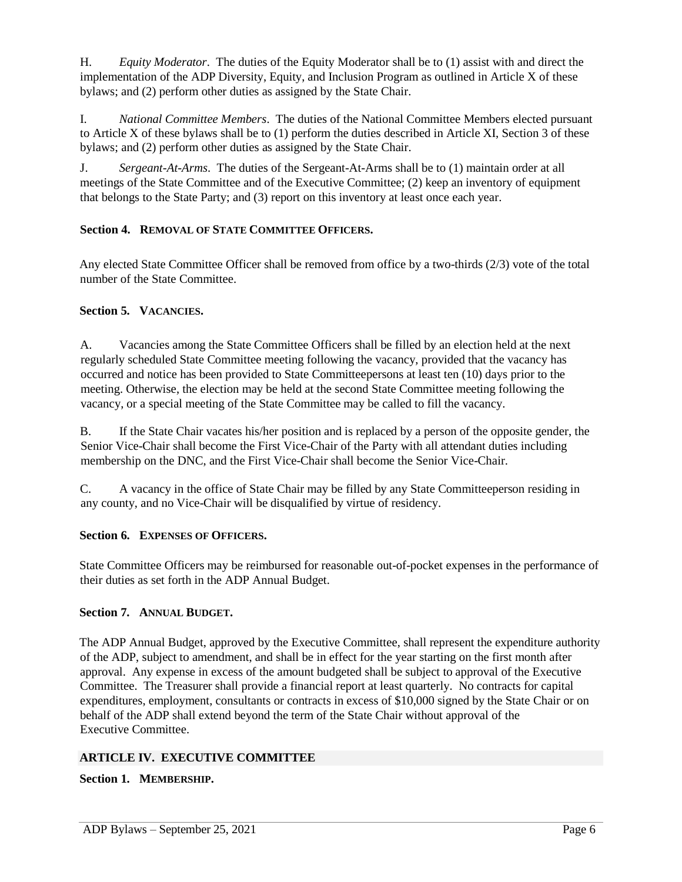H. *Equity Moderator*. The duties of the Equity Moderator shall be to (1) assist with and direct the implementation of the ADP Diversity, Equity, and Inclusion Program as outlined in Article X of these bylaws; and (2) perform other duties as assigned by the State Chair.

I. *National Committee Members*. The duties of the National Committee Members elected pursuant to Article X of these bylaws shall be to (1) perform the duties described in Article XI, Section 3 of these bylaws; and (2) perform other duties as assigned by the State Chair.

J. *Sergeant-At-Arms*. The duties of the Sergeant-At-Arms shall be to (1) maintain order at all meetings of the State Committee and of the Executive Committee; (2) keep an inventory of equipment that belongs to the State Party; and (3) report on this inventory at least once each year.

# **Section 4. REMOVAL OF STATE COMMITTEE OFFICERS.**

Any elected State Committee Officer shall be removed from office by a two-thirds (2/3) vote of the total number of the State Committee.

# **Section 5. VACANCIES.**

A. Vacancies among the State Committee Officers shall be filled by an election held at the next regularly scheduled State Committee meeting following the vacancy, provided that the vacancy has occurred and notice has been provided to State Committeepersons at least ten (10) days prior to the meeting. Otherwise, the election may be held at the second State Committee meeting following the vacancy, or a special meeting of the State Committee may be called to fill the vacancy.

B. If the State Chair vacates his/her position and is replaced by a person of the opposite gender, the Senior Vice-Chair shall become the First Vice-Chair of the Party with all attendant duties including membership on the DNC, and the First Vice-Chair shall become the Senior Vice-Chair.

C. A vacancy in the office of State Chair may be filled by any State Committeeperson residing in any county, and no Vice-Chair will be disqualified by virtue of residency.

#### **Section 6. EXPENSES OF OFFICERS.**

State Committee Officers may be reimbursed for reasonable out-of-pocket expenses in the performance of their duties as set forth in the ADP Annual Budget.

# **Section 7. ANNUAL BUDGET.**

The ADP Annual Budget, approved by the Executive Committee, shall represent the expenditure authority of the ADP, subject to amendment, and shall be in effect for the year starting on the first month after approval. Any expense in excess of the amount budgeted shall be subject to approval of the Executive Committee. The Treasurer shall provide a financial report at least quarterly. No contracts for capital expenditures, employment, consultants or contracts in excess of \$10,000 signed by the State Chair or on behalf of the ADP shall extend beyond the term of the State Chair without approval of the Executive Committee.

# **ARTICLE IV. EXECUTIVE COMMITTEE**

# **Section 1. MEMBERSHIP.**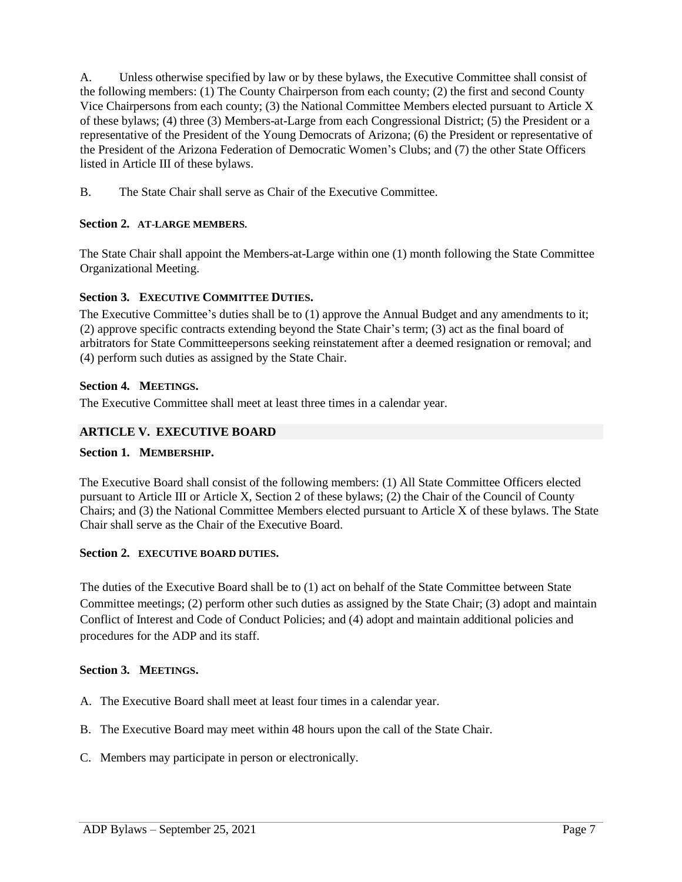A. Unless otherwise specified by law or by these bylaws, the Executive Committee shall consist of the following members: (1) The County Chairperson from each county; (2) the first and second County Vice Chairpersons from each county; (3) the National Committee Members elected pursuant to Article X of these bylaws; (4) three (3) Members-at-Large from each Congressional District; (5) the President or a representative of the President of the Young Democrats of Arizona; (6) the President or representative of the President of the Arizona Federation of Democratic Women's Clubs; and (7) the other State Officers listed in Article III of these bylaws.

B. The State Chair shall serve as Chair of the Executive Committee.

# **Section 2. AT-LARGE MEMBERS.**

The State Chair shall appoint the Members-at-Large within one (1) month following the State Committee Organizational Meeting.

# **Section 3. EXECUTIVE COMMITTEE DUTIES.**

The Executive Committee's duties shall be to (1) approve the Annual Budget and any amendments to it; (2) approve specific contracts extending beyond the State Chair's term; (3) act as the final board of arbitrators for State Committeepersons seeking reinstatement after a deemed resignation or removal; and (4) perform such duties as assigned by the State Chair.

# **Section 4. MEETINGS.**

The Executive Committee shall meet at least three times in a calendar year.

# **ARTICLE V. EXECUTIVE BOARD**

# **Section 1. MEMBERSHIP.**

The Executive Board shall consist of the following members: (1) All State Committee Officers elected pursuant to Article III or Article X, Section 2 of these bylaws; (2) the Chair of the Council of County Chairs; and (3) the National Committee Members elected pursuant to Article X of these bylaws. The State Chair shall serve as the Chair of the Executive Board.

# **Section 2. EXECUTIVE BOARD DUTIES.**

The duties of the Executive Board shall be to (1) act on behalf of the State Committee between State Committee meetings; (2) perform other such duties as assigned by the State Chair; (3) adopt and maintain Conflict of Interest and Code of Conduct Policies; and (4) adopt and maintain additional policies and procedures for the ADP and its staff.

# **Section 3. MEETINGS.**

- A. The Executive Board shall meet at least four times in a calendar year.
- B. The Executive Board may meet within 48 hours upon the call of the State Chair.
- C. Members may participate in person or electronically.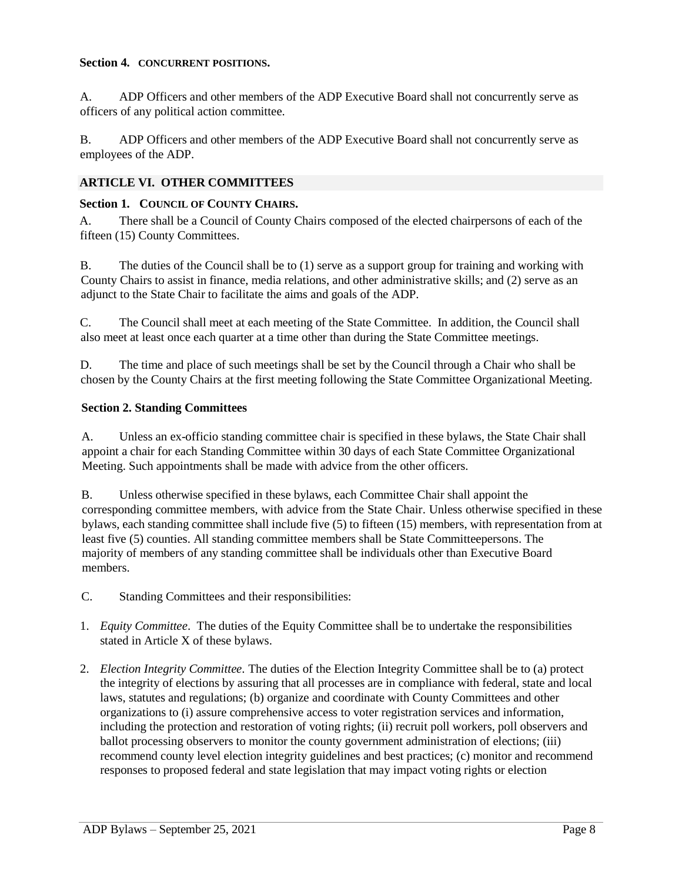#### **Section 4. CONCURRENT POSITIONS.**

A. ADP Officers and other members of the ADP Executive Board shall not concurrently serve as officers of any political action committee.

B. ADP Officers and other members of the ADP Executive Board shall not concurrently serve as employees of the ADP.

# **ARTICLE VI. OTHER COMMITTEES**

#### **Section 1. COUNCIL OF COUNTY CHAIRS.**

A. There shall be a Council of County Chairs composed of the elected chairpersons of each of the fifteen (15) County Committees.

B. The duties of the Council shall be to (1) serve as a support group for training and working with County Chairs to assist in finance, media relations, and other administrative skills; and (2) serve as an adjunct to the State Chair to facilitate the aims and goals of the ADP.

C. The Council shall meet at each meeting of the State Committee. In addition, the Council shall also meet at least once each quarter at a time other than during the State Committee meetings.

D. The time and place of such meetings shall be set by the Council through a Chair who shall be chosen by the County Chairs at the first meeting following the State Committee Organizational Meeting.

#### **Section 2. Standing Committees**

A. Unless an ex-officio standing committee chair is specified in these bylaws, the State Chair shall appoint a chair for each Standing Committee within 30 days of each State Committee Organizational Meeting. Such appointments shall be made with advice from the other officers.

B. Unless otherwise specified in these bylaws, each Committee Chair shall appoint the corresponding committee members, with advice from the State Chair. Unless otherwise specified in these bylaws, each standing committee shall include five (5) to fifteen (15) members, with representation from at least five (5) counties. All standing committee members shall be State Committeepersons. The majority of members of any standing committee shall be individuals other than Executive Board members.

- C. Standing Committees and their responsibilities:
- 1. *Equity Committee*. The duties of the Equity Committee shall be to undertake the responsibilities stated in Article X of these bylaws.
- 2. *Election Integrity Committee*. The duties of the Election Integrity Committee shall be to (a) protect the integrity of elections by assuring that all processes are in compliance with federal, state and local laws, statutes and regulations; (b) organize and coordinate with County Committees and other organizations to (i) assure comprehensive access to voter registration services and information, including the protection and restoration of voting rights; (ii) recruit poll workers, poll observers and ballot processing observers to monitor the county government administration of elections; (iii) recommend county level election integrity guidelines and best practices; (c) monitor and recommend responses to proposed federal and state legislation that may impact voting rights or election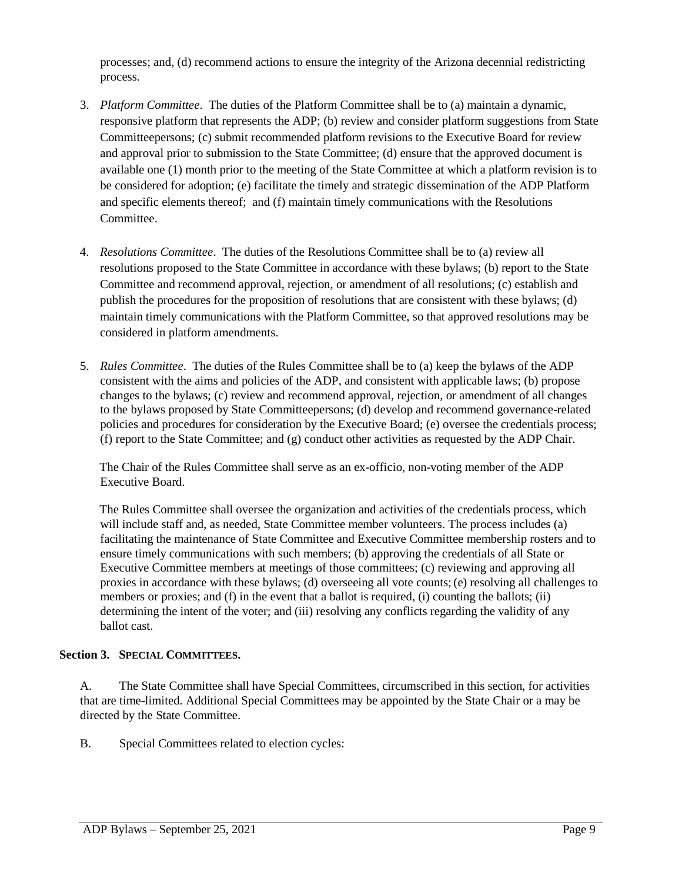processes; and, (d) recommend actions to ensure the integrity of the Arizona decennial redistricting process.

- 3. *Platform Committee*. The duties of the Platform Committee shall be to (a) maintain a dynamic, responsive platform that represents the ADP; (b) review and consider platform suggestions from State Committeepersons; (c) submit recommended platform revisions to the Executive Board for review and approval prior to submission to the State Committee; (d) ensure that the approved document is available one (1) month prior to the meeting of the State Committee at which a platform revision is to be considered for adoption; (e) facilitate the timely and strategic dissemination of the ADP Platform and specific elements thereof; and (f) maintain timely communications with the Resolutions **Committee**
- 4. *Resolutions Committee*. The duties of the Resolutions Committee shall be to (a) review all resolutions proposed to the State Committee in accordance with these bylaws; (b) report to the State Committee and recommend approval, rejection, or amendment of all resolutions; (c) establish and publish the procedures for the proposition of resolutions that are consistent with these bylaws; (d) maintain timely communications with the Platform Committee, so that approved resolutions may be considered in platform amendments.
- 5. *Rules Committee*. The duties of the Rules Committee shall be to (a) keep the bylaws of the ADP consistent with the aims and policies of the ADP, and consistent with applicable laws; (b) propose changes to the bylaws; (c) review and recommend approval, rejection, or amendment of all changes to the bylaws proposed by State Committeepersons; (d) develop and recommend governance-related policies and procedures for consideration by the Executive Board; (e) oversee the credentials process; (f) report to the State Committee; and (g) conduct other activities as requested by the ADP Chair.

The Chair of the Rules Committee shall serve as an ex-officio, non-voting member of the ADP Executive Board.

The Rules Committee shall oversee the organization and activities of the credentials process, which will include staff and, as needed, State Committee member volunteers. The process includes (a) facilitating the maintenance of State Committee and Executive Committee membership rosters and to ensure timely communications with such members; (b) approving the credentials of all State or Executive Committee members at meetings of those committees; (c) reviewing and approving all proxies in accordance with these bylaws; (d) overseeing all vote counts; (e) resolving all challenges to members or proxies; and (f) in the event that a ballot is required, (i) counting the ballots; (ii) determining the intent of the voter; and (iii) resolving any conflicts regarding the validity of any ballot cast.

# **Section 3. SPECIAL COMMITTEES.**

A. The State Committee shall have Special Committees, circumscribed in this section, for activities that are time-limited. Additional Special Committees may be appointed by the State Chair or a may be directed by the State Committee.

B. Special Committees related to election cycles: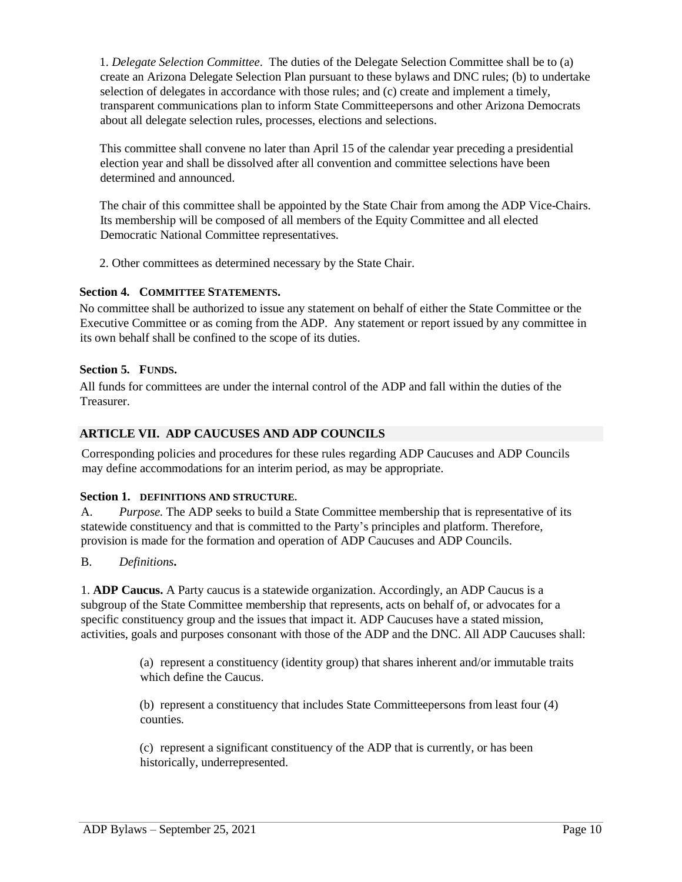1. *Delegate Selection Committee*. The duties of the Delegate Selection Committee shall be to (a) create an Arizona Delegate Selection Plan pursuant to these bylaws and DNC rules; (b) to undertake selection of delegates in accordance with those rules; and (c) create and implement a timely, transparent communications plan to inform State Committeepersons and other Arizona Democrats about all delegate selection rules, processes, elections and selections.

This committee shall convene no later than April 15 of the calendar year preceding a presidential election year and shall be dissolved after all convention and committee selections have been determined and announced.

The chair of this committee shall be appointed by the State Chair from among the ADP Vice-Chairs. Its membership will be composed of all members of the Equity Committee and all elected Democratic National Committee representatives.

2. Other committees as determined necessary by the State Chair.

# **Section 4. COMMITTEE STATEMENTS.**

No committee shall be authorized to issue any statement on behalf of either the State Committee or the Executive Committee or as coming from the ADP. Any statement or report issued by any committee in its own behalf shall be confined to the scope of its duties.

# **Section 5. FUNDS.**

All funds for committees are under the internal control of the ADP and fall within the duties of the Treasurer.

# **ARTICLE VII. ADP CAUCUSES AND ADP COUNCILS**

Corresponding policies and procedures for these rules regarding ADP Caucuses and ADP Councils may define accommodations for an interim period, as may be appropriate.

# **Section 1. DEFINITIONS AND STRUCTURE.**

A. *Purpose.* The ADP seeks to build a State Committee membership that is representative of its statewide constituency and that is committed to the Party's principles and platform. Therefore, provision is made for the formation and operation of ADP Caucuses and ADP Councils.

# B. *Definitions***.**

1. **ADP Caucus.** A Party caucus is a statewide organization. Accordingly, an ADP Caucus is a subgroup of the State Committee membership that represents, acts on behalf of, or advocates for a specific constituency group and the issues that impact it. ADP Caucuses have a stated mission, activities, goals and purposes consonant with those of the ADP and the DNC. All ADP Caucuses shall:

> (a) represent a constituency (identity group) that shares inherent and/or immutable traits which define the Caucus.

(b) represent a constituency that includes State Committeepersons from least four (4) counties.

(c) represent a significant constituency of the ADP that is currently, or has been historically, underrepresented.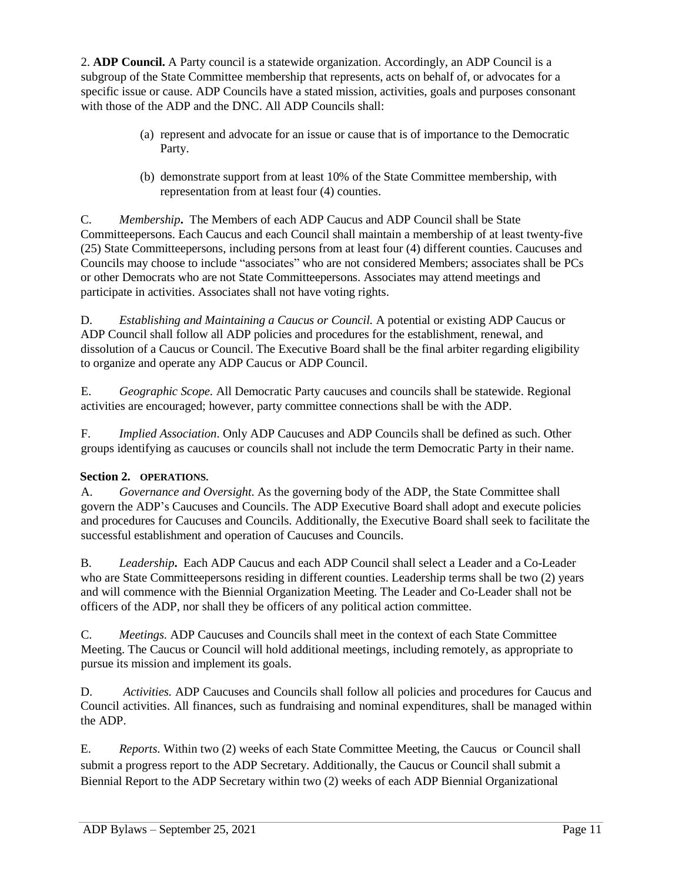2. **ADP Council.** A Party council is a statewide organization. Accordingly, an ADP Council is a subgroup of the State Committee membership that represents, acts on behalf of, or advocates for a specific issue or cause. ADP Councils have a stated mission, activities, goals and purposes consonant with those of the ADP and the DNC. All ADP Councils shall:

- (a) represent and advocate for an issue or cause that is of importance to the Democratic Party.
- (b) demonstrate support from at least 10% of the State Committee membership, with representation from at least four (4) counties.

C. *Membership***.** The Members of each ADP Caucus and ADP Council shall be State Committeepersons. Each Caucus and each Council shall maintain a membership of at least twenty-five (25) State Committeepersons, including persons from at least four (4) different counties. Caucuses and Councils may choose to include "associates" who are not considered Members; associates shall be PCs or other Democrats who are not State Committeepersons. Associates may attend meetings and participate in activities. Associates shall not have voting rights.

D. *Establishing and Maintaining a Caucus or Council.* A potential or existing ADP Caucus or ADP Council shall follow all ADP policies and procedures for the establishment, renewal, and dissolution of a Caucus or Council. The Executive Board shall be the final arbiter regarding eligibility to organize and operate any ADP Caucus or ADP Council.

E. *Geographic Scope.* All Democratic Party caucuses and councils shall be statewide. Regional activities are encouraged; however, party committee connections shall be with the ADP.

F. *Implied Association*. Only ADP Caucuses and ADP Councils shall be defined as such. Other groups identifying as caucuses or councils shall not include the term Democratic Party in their name.

# **Section 2. OPERATIONS.**

A. *Governance and Oversight.* As the governing body of the ADP, the State Committee shall govern the ADP's Caucuses and Councils. The ADP Executive Board shall adopt and execute policies and procedures for Caucuses and Councils. Additionally, the Executive Board shall seek to facilitate the successful establishment and operation of Caucuses and Councils.

B. *Leadership***.** Each ADP Caucus and each ADP Council shall select a Leader and a Co-Leader who are State Committeepersons residing in different counties. Leadership terms shall be two (2) years and will commence with the Biennial Organization Meeting. The Leader and Co-Leader shall not be officers of the ADP, nor shall they be officers of any political action committee.

C. *Meetings.* ADP Caucuses and Councils shall meet in the context of each State Committee Meeting. The Caucus or Council will hold additional meetings, including remotely, as appropriate to pursue its mission and implement its goals.

D. *Activities.* ADP Caucuses and Councils shall follow all policies and procedures for Caucus and Council activities. All finances, such as fundraising and nominal expenditures, shall be managed within the ADP.

E. *Reports.* Within two (2) weeks of each State Committee Meeting, the Caucus or Council shall submit a progress report to the ADP Secretary. Additionally, the Caucus or Council shall submit a Biennial Report to the ADP Secretary within two (2) weeks of each ADP Biennial Organizational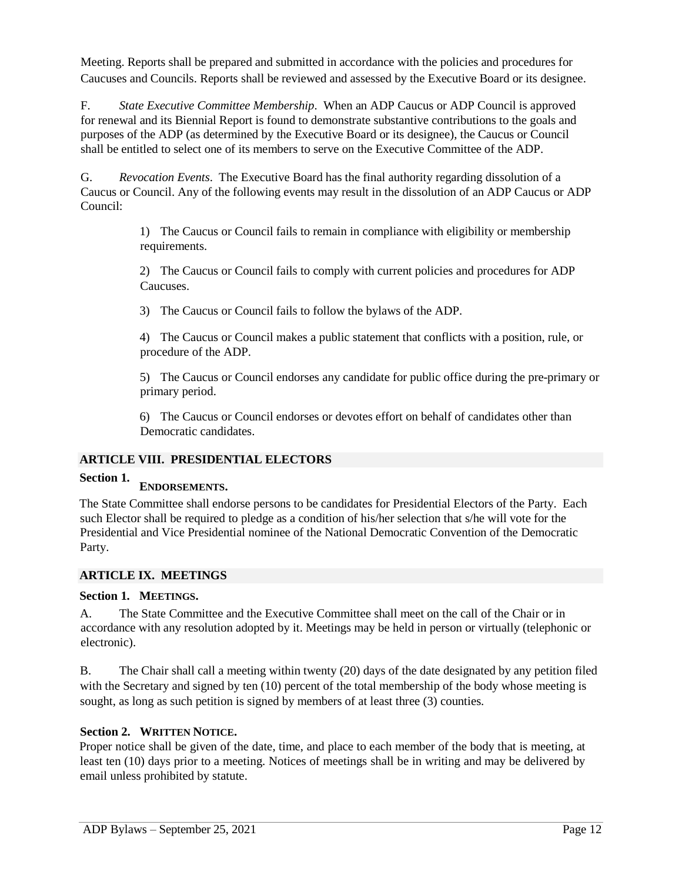Meeting. Reports shall be prepared and submitted in accordance with the policies and procedures for Caucuses and Councils. Reports shall be reviewed and assessed by the Executive Board or its designee.

F. *State Executive Committee Membership*. When an ADP Caucus or ADP Council is approved for renewal and its Biennial Report is found to demonstrate substantive contributions to the goals and purposes of the ADP (as determined by the Executive Board or its designee), the Caucus or Council shall be entitled to select one of its members to serve on the Executive Committee of the ADP.

G. *Revocation Events*. The Executive Board has the final authority regarding dissolution of a Caucus or Council. Any of the following events may result in the dissolution of an ADP Caucus or ADP Council:

> 1) The Caucus or Council fails to remain in compliance with eligibility or membership requirements.

> 2) The Caucus or Council fails to comply with current policies and procedures for ADP Caucuses.

3) The Caucus or Council fails to follow the bylaws of the ADP.

4) The Caucus or Council makes a public statement that conflicts with a position, rule, or procedure of the ADP.

5) The Caucus or Council endorses any candidate for public office during the pre-primary or primary period.

6) The Caucus or Council endorses or devotes effort on behalf of candidates other than Democratic candidates.

# **ARTICLE VIII. PRESIDENTIAL ELECTORS**

#### **Section 1. ENDORSEMENTS.**

The State Committee shall endorse persons to be candidates for Presidential Electors of the Party. Each such Elector shall be required to pledge as a condition of his/her selection that s/he will vote for the Presidential and Vice Presidential nominee of the National Democratic Convention of the Democratic Party.

# **ARTICLE IX. MEETINGS**

# **Section 1. MEETINGS.**

A. The State Committee and the Executive Committee shall meet on the call of the Chair or in accordance with any resolution adopted by it. Meetings may be held in person or virtually (telephonic or electronic).

B. The Chair shall call a meeting within twenty (20) days of the date designated by any petition filed with the Secretary and signed by ten (10) percent of the total membership of the body whose meeting is sought, as long as such petition is signed by members of at least three (3) counties.

# **Section 2. WRITTEN NOTICE.**

Proper notice shall be given of the date, time, and place to each member of the body that is meeting, at least ten (10) days prior to a meeting. Notices of meetings shall be in writing and may be delivered by email unless prohibited by statute.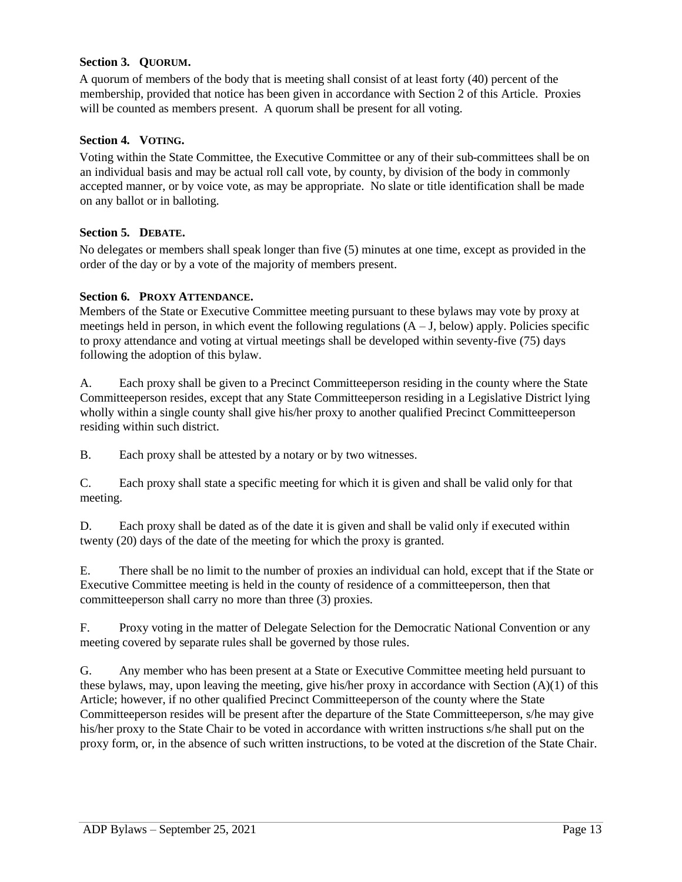# **Section 3. QUORUM.**

A quorum of members of the body that is meeting shall consist of at least forty (40) percent of the membership, provided that notice has been given in accordance with Section 2 of this Article. Proxies will be counted as members present. A quorum shall be present for all voting.

#### **Section 4. VOTING.**

Voting within the State Committee, the Executive Committee or any of their sub-committees shall be on an individual basis and may be actual roll call vote, by county, by division of the body in commonly accepted manner, or by voice vote, as may be appropriate. No slate or title identification shall be made on any ballot or in balloting.

#### **Section 5. DEBATE.**

No delegates or members shall speak longer than five (5) minutes at one time, except as provided in the order of the day or by a vote of the majority of members present.

#### **Section 6. PROXY ATTENDANCE.**

Members of the State or Executive Committee meeting pursuant to these bylaws may vote by proxy at meetings held in person, in which event the following regulations  $(A - J,$  below) apply. Policies specific to proxy attendance and voting at virtual meetings shall be developed within seventy-five (75) days following the adoption of this bylaw.

A. Each proxy shall be given to a Precinct Committeeperson residing in the county where the State Committeeperson resides, except that any State Committeeperson residing in a Legislative District lying wholly within a single county shall give his/her proxy to another qualified Precinct Committeeperson residing within such district.

B. Each proxy shall be attested by a notary or by two witnesses.

C. Each proxy shall state a specific meeting for which it is given and shall be valid only for that meeting.

D. Each proxy shall be dated as of the date it is given and shall be valid only if executed within twenty (20) days of the date of the meeting for which the proxy is granted.

E. There shall be no limit to the number of proxies an individual can hold, except that if the State or Executive Committee meeting is held in the county of residence of a committeeperson, then that committeeperson shall carry no more than three (3) proxies.

F. Proxy voting in the matter of Delegate Selection for the Democratic National Convention or any meeting covered by separate rules shall be governed by those rules.

G. Any member who has been present at a State or Executive Committee meeting held pursuant to these bylaws, may, upon leaving the meeting, give his/her proxy in accordance with Section (A)(1) of this Article; however, if no other qualified Precinct Committeeperson of the county where the State Committeeperson resides will be present after the departure of the State Committeeperson, s/he may give his/her proxy to the State Chair to be voted in accordance with written instructions s/he shall put on the proxy form, or, in the absence of such written instructions, to be voted at the discretion of the State Chair.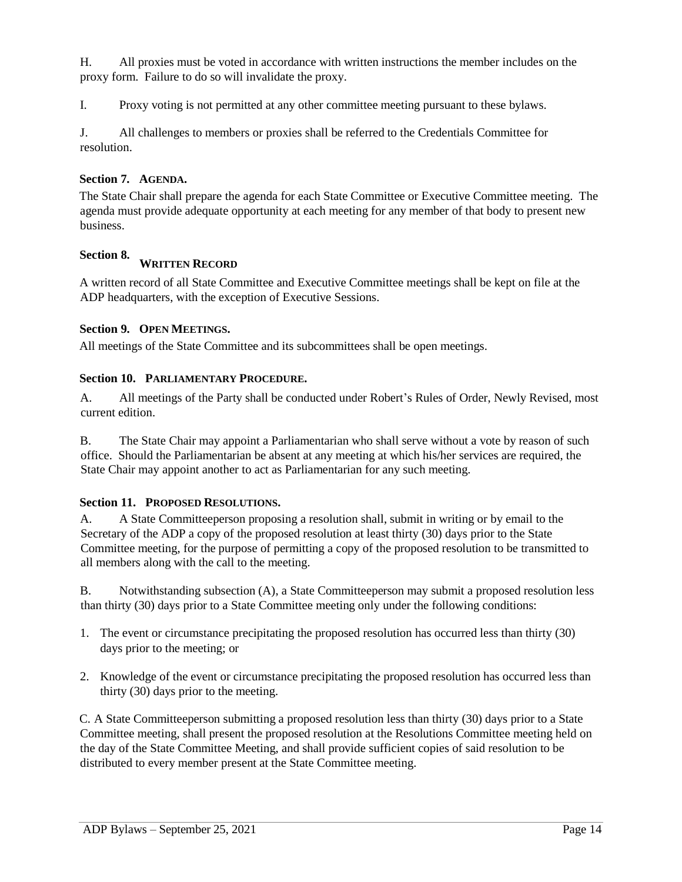H. All proxies must be voted in accordance with written instructions the member includes on the proxy form. Failure to do so will invalidate the proxy.

I. Proxy voting is not permitted at any other committee meeting pursuant to these bylaws.

J. All challenges to members or proxies shall be referred to the Credentials Committee for resolution.

#### **Section 7. AGENDA.**

The State Chair shall prepare the agenda for each State Committee or Executive Committee meeting. The agenda must provide adequate opportunity at each meeting for any member of that body to present new business.

#### **Section 8.**

# **WRITTEN RECORD**

A written record of all State Committee and Executive Committee meetings shall be kept on file at the ADP headquarters, with the exception of Executive Sessions.

#### **Section 9. OPEN MEETINGS.**

All meetings of the State Committee and its subcommittees shall be open meetings.

#### **Section 10. PARLIAMENTARY PROCEDURE.**

A. All meetings of the Party shall be conducted under Robert's Rules of Order, Newly Revised, most current edition.

B. The State Chair may appoint a Parliamentarian who shall serve without a vote by reason of such office. Should the Parliamentarian be absent at any meeting at which his/her services are required, the State Chair may appoint another to act as Parliamentarian for any such meeting.

#### **Section 11. PROPOSED RESOLUTIONS.**

A. A State Committeeperson proposing a resolution shall, submit in writing or by email to the Secretary of the ADP a copy of the proposed resolution at least thirty (30) days prior to the State Committee meeting, for the purpose of permitting a copy of the proposed resolution to be transmitted to all members along with the call to the meeting.

B. Notwithstanding subsection (A), a State Committeeperson may submit a proposed resolution less than thirty (30) days prior to a State Committee meeting only under the following conditions:

- 1. The event or circumstance precipitating the proposed resolution has occurred less than thirty (30) days prior to the meeting; or
- 2. Knowledge of the event or circumstance precipitating the proposed resolution has occurred less than thirty (30) days prior to the meeting.

C. A State Committeeperson submitting a proposed resolution less than thirty (30) days prior to a State Committee meeting, shall present the proposed resolution at the Resolutions Committee meeting held on the day of the State Committee Meeting, and shall provide sufficient copies of said resolution to be distributed to every member present at the State Committee meeting.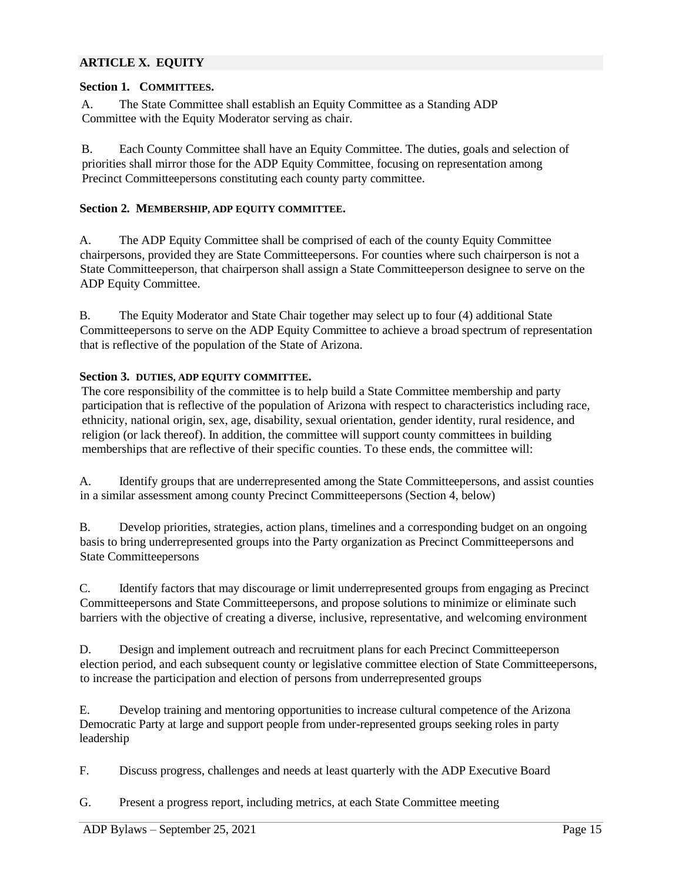#### **ARTICLE X. EQUITY**

#### **Section 1. COMMITTEES.**

A. The State Committee shall establish an Equity Committee as a Standing ADP Committee with the Equity Moderator serving as chair.

B. Each County Committee shall have an Equity Committee. The duties, goals and selection of priorities shall mirror those for the ADP Equity Committee, focusing on representation among Precinct Committeepersons constituting each county party committee.

#### **Section 2. MEMBERSHIP, ADP EQUITY COMMITTEE.**

A. The ADP Equity Committee shall be comprised of each of the county Equity Committee chairpersons, provided they are State Committeepersons. For counties where such chairperson is not a State Committeeperson, that chairperson shall assign a State Committeeperson designee to serve on the ADP Equity Committee.

B. The Equity Moderator and State Chair together may select up to four (4) additional State Committeepersons to serve on the ADP Equity Committee to achieve a broad spectrum of representation that is reflective of the population of the State of Arizona.

#### **Section 3. DUTIES, ADP EQUITY COMMITTEE.**

The core responsibility of the committee is to help build a State Committee membership and party participation that is reflective of the population of Arizona with respect to characteristics including race, ethnicity, national origin, sex, age, disability, sexual orientation, gender identity, rural residence, and religion (or lack thereof). In addition, the committee will support county committees in building memberships that are reflective of their specific counties. To these ends, the committee will:

A. Identify groups that are underrepresented among the State Committeepersons, and assist counties in a similar assessment among county Precinct Committeepersons (Section 4, below)

B. Develop priorities, strategies, action plans, timelines and a corresponding budget on an ongoing basis to bring underrepresented groups into the Party organization as Precinct Committeepersons and State Committeepersons

C. Identify factors that may discourage or limit underrepresented groups from engaging as Precinct Committeepersons and State Committeepersons, and propose solutions to minimize or eliminate such barriers with the objective of creating a diverse, inclusive, representative, and welcoming environment

D. Design and implement outreach and recruitment plans for each Precinct Committeeperson election period, and each subsequent county or legislative committee election of State Committeepersons, to increase the participation and election of persons from underrepresented groups

E. Develop training and mentoring opportunities to increase cultural competence of the Arizona Democratic Party at large and support people from under-represented groups seeking roles in party leadership

F. Discuss progress, challenges and needs at least quarterly with the ADP Executive Board

G. Present a progress report, including metrics, at each State Committee meeting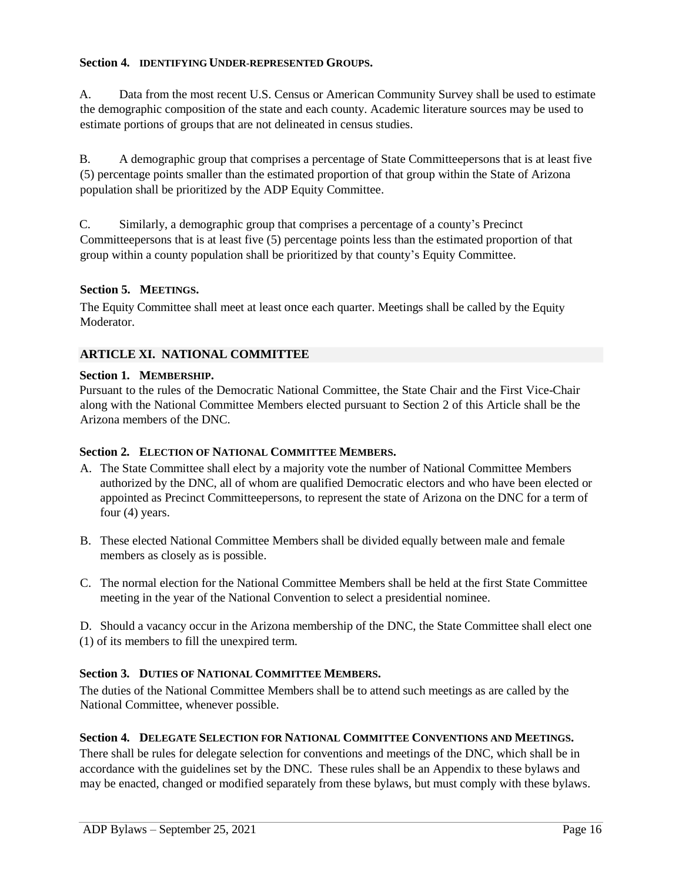#### **Section 4. IDENTIFYING UNDER-REPRESENTED GROUPS.**

A. Data from the most recent U.S. Census or American Community Survey shall be used to estimate the demographic composition of the state and each county. Academic literature sources may be used to estimate portions of groups that are not delineated in census studies.

B. A demographic group that comprises a percentage of State Committeepersons that is at least five (5) percentage points smaller than the estimated proportion of that group within the State of Arizona population shall be prioritized by the ADP Equity Committee.

C. Similarly, a demographic group that comprises a percentage of a county's Precinct Committeepersons that is at least five (5) percentage points less than the estimated proportion of that group within a county population shall be prioritized by that county's Equity Committee.

#### **Section 5. MEETINGS.**

The Equity Committee shall meet at least once each quarter. Meetings shall be called by the Equity Moderator.

#### **ARTICLE XI. NATIONAL COMMITTEE**

#### **Section 1. MEMBERSHIP.**

Pursuant to the rules of the Democratic National Committee, the State Chair and the First Vice-Chair along with the National Committee Members elected pursuant to Section 2 of this Article shall be the Arizona members of the DNC.

#### **Section 2. ELECTION OF NATIONAL COMMITTEE MEMBERS.**

- A. The State Committee shall elect by a majority vote the number of National Committee Members authorized by the DNC, all of whom are qualified Democratic electors and who have been elected or appointed as Precinct Committeepersons, to represent the state of Arizona on the DNC for a term of four (4) years.
- B. These elected National Committee Members shall be divided equally between male and female members as closely as is possible.
- C. The normal election for the National Committee Members shall be held at the first State Committee meeting in the year of the National Convention to select a presidential nominee.

D. Should a vacancy occur in the Arizona membership of the DNC, the State Committee shall elect one (1) of its members to fill the unexpired term.

# **Section 3. DUTIES OF NATIONAL COMMITTEE MEMBERS.**

The duties of the National Committee Members shall be to attend such meetings as are called by the National Committee, whenever possible.

#### **Section 4. DELEGATE SELECTION FOR NATIONAL COMMITTEE CONVENTIONS AND MEETINGS.**

There shall be rules for delegate selection for conventions and meetings of the DNC, which shall be in accordance with the guidelines set by the DNC. These rules shall be an Appendix to these bylaws and may be enacted, changed or modified separately from these bylaws, but must comply with these bylaws.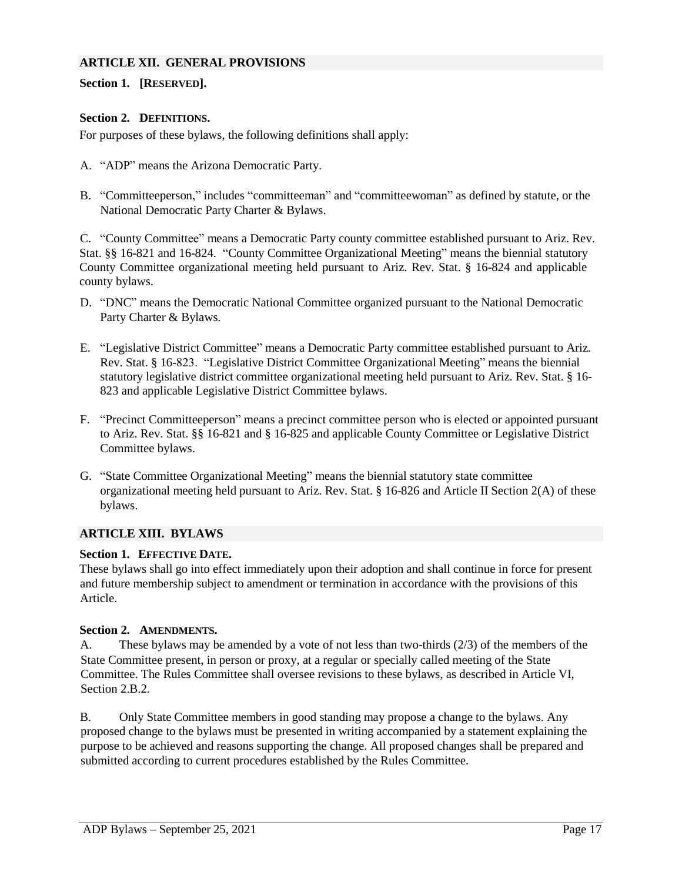#### **ARTICLE XII. GENERAL PROVISIONS**

#### **Section 1. [RESERVED].**

#### **Section 2. DEFINITIONS.**

For purposes of these bylaws, the following definitions shall apply:

- A. "ADP" means the Arizona Democratic Party.
- B. "Committeeperson," includes "committeeman" and "committeewoman" as defined by statute, or the National Democratic Party Charter & Bylaws.

C. "County Committee" means a Democratic Party county committee established pursuant to Ariz. Rev. Stat. §§ 16-821 and 16-824. "County Committee Organizational Meeting" means the biennial statutory County Committee organizational meeting held pursuant to Ariz. Rev. Stat. § 16-824 and applicable county bylaws.

- D. "DNC" means the Democratic National Committee organized pursuant to the National Democratic Party Charter & Bylaws.
- E. "Legislative District Committee" means a Democratic Party committee established pursuant to Ariz. Rev. Stat. § 16-823. "Legislative District Committee Organizational Meeting" means the biennial statutory legislative district committee organizational meeting held pursuant to Ariz. Rev. Stat. § 16- 823 and applicable Legislative District Committee bylaws.
- F. "Precinct Committeeperson" means a precinct committee person who is elected or appointed pursuant to Ariz. Rev. Stat. §§ 16-821 and § 16-825 and applicable County Committee or Legislative District Committee bylaws.
- G. "State Committee Organizational Meeting" means the biennial statutory state committee organizational meeting held pursuant to Ariz. Rev. Stat. § 16-826 and Article II Section 2(A) of these bylaws.

#### **ARTICLE XIII. BYLAWS**

#### **Section 1. EFFECTIVE DATE.**

These bylaws shall go into effect immediately upon their adoption and shall continue in force for present and future membership subject to amendment or termination in accordance with the provisions of this Article.

#### **Section 2. AMENDMENTS.**

A. These bylaws may be amended by a vote of not less than two-thirds (2/3) of the members of the State Committee present, in person or proxy, at a regular or specially called meeting of the State Committee. The Rules Committee shall oversee revisions to these bylaws, as described in Article VI, Section 2.B.2.

B. Only State Committee members in good standing may propose a change to the bylaws. Any proposed change to the bylaws must be presented in writing accompanied by a statement explaining the purpose to be achieved and reasons supporting the change. All proposed changes shall be prepared and submitted according to current procedures established by the Rules Committee.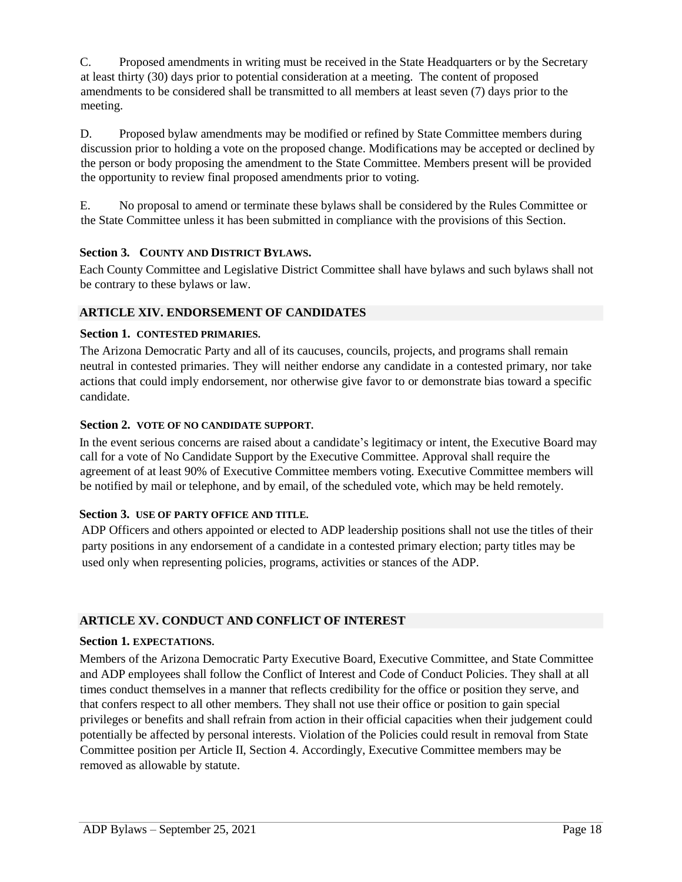C. Proposed amendments in writing must be received in the State Headquarters or by the Secretary at least thirty (30) days prior to potential consideration at a meeting. The content of proposed amendments to be considered shall be transmitted to all members at least seven (7) days prior to the meeting.

D. Proposed bylaw amendments may be modified or refined by State Committee members during discussion prior to holding a vote on the proposed change. Modifications may be accepted or declined by the person or body proposing the amendment to the State Committee. Members present will be provided the opportunity to review final proposed amendments prior to voting.

E. No proposal to amend or terminate these bylaws shall be considered by the Rules Committee or the State Committee unless it has been submitted in compliance with the provisions of this Section.

# **Section 3. COUNTY AND DISTRICT BYLAWS.**

Each County Committee and Legislative District Committee shall have bylaws and such bylaws shall not be contrary to these bylaws or law.

# **ARTICLE XIV. ENDORSEMENT OF CANDIDATES**

# **Section 1. CONTESTED PRIMARIES.**

The Arizona Democratic Party and all of its caucuses, councils, projects, and programs shall remain neutral in contested primaries. They will neither endorse any candidate in a contested primary, nor take actions that could imply endorsement, nor otherwise give favor to or demonstrate bias toward a specific candidate.

#### **Section 2. VOTE OF NO CANDIDATE SUPPORT.**

In the event serious concerns are raised about a candidate's legitimacy or intent, the Executive Board may call for a vote of No Candidate Support by the Executive Committee. Approval shall require the agreement of at least 90% of Executive Committee members voting. Executive Committee members will be notified by mail or telephone, and by email, of the scheduled vote, which may be held remotely.

# **Section 3. USE OF PARTY OFFICE AND TITLE.**

ADP Officers and others appointed or elected to ADP leadership positions shall not use the titles of their party positions in any endorsement of a candidate in a contested primary election; party titles may be used only when representing policies, programs, activities or stances of the ADP.

# **ARTICLE XV. CONDUCT AND CONFLICT OF INTEREST**

# **Section 1. EXPECTATIONS.**

Members of the Arizona Democratic Party Executive Board, Executive Committee, and State Committee and ADP employees shall follow the Conflict of Interest and Code of Conduct Policies. They shall at all times conduct themselves in a manner that reflects credibility for the office or position they serve, and that confers respect to all other members. They shall not use their office or position to gain special privileges or benefits and shall refrain from action in their official capacities when their judgement could potentially be affected by personal interests. Violation of the Policies could result in removal from State Committee position per Article II, Section 4. Accordingly, Executive Committee members may be removed as allowable by statute.